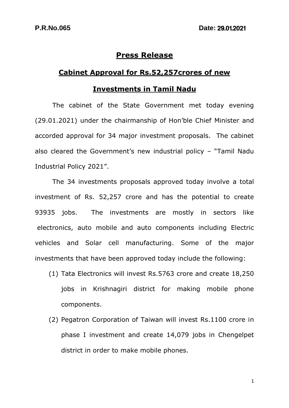## **Press Release**

## **Cabinet Approval for Rs.52,257crores of new**

## **Investments in Tamil Nadu**

The cabinet of the State Government met today evening (29.01.2021) under the chairmanship of Hon'ble Chief Minister and accorded approval for 34 major investment proposals. The cabinet also cleared the Government's new industrial policy – "Tamil Nadu Industrial Policy 2021".

The 34 investments proposals approved today involve a total investment of Rs. 52,257 crore and has the potential to create 93935 jobs. The investments are mostly in sectors like electronics, auto mobile and auto components including Electric vehicles and Solar cell manufacturing. Some of the major investments that have been approved today include the following:

- (1) Tata Electronics will invest Rs.5763 crore and create 18,250 jobs in Krishnagiri district for making mobile phone components.
- (2) Pegatron Corporation of Taiwan will invest Rs.1100 crore in phase I investment and create 14,079 jobs in Chengelpet district in order to make mobile phones.

1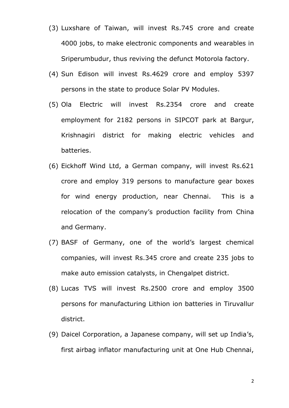- (3) Luxshare of Taiwan, will invest Rs.745 crore and create 4000 jobs, to make electronic components and wearables in Sriperumbudur, thus reviving the defunct Motorola factory.
- (4) Sun Edison will invest Rs.4629 crore and employ 5397 persons in the state to produce Solar PV Modules.
- (5) Ola Electric will invest Rs.2354 crore and create employment for 2182 persons in SIPCOT park at Bargur, Krishnagiri district for making electric vehicles and batteries.
- (6) Eickhoff Wind Ltd, a German company, will invest Rs.621 crore and employ 319 persons to manufacture gear boxes for wind energy production, near Chennai. This is a relocation of the company's production facility from China and Germany.
- (7) BASF of Germany, one of the world's largest chemical companies, will invest Rs.345 crore and create 235 jobs to make auto emission catalysts, in Chengalpet district.
- (8) Lucas TVS will invest Rs.2500 crore and employ 3500 persons for manufacturing Lithion ion batteries in Tiruvallur district.
- (9) Daicel Corporation, a Japanese company, will set up India's, first airbag inflator manufacturing unit at One Hub Chennai,

2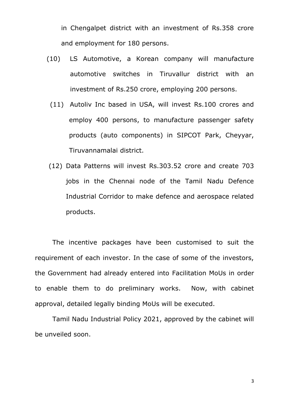in Chengalpet district with an investment of Rs.358 crore and employment for 180 persons.

- (10) LS Automotive, a Korean company will manufacture automotive switches in Tiruvallur district with an investment of Rs.250 crore, employing 200 persons.
	- (11) Autoliv Inc based in USA, will invest Rs.100 crores and employ 400 persons, to manufacture passenger safety products (auto components) in SIPCOT Park, Cheyyar, Tiruvannamalai district.
- (12) Data Patterns will invest Rs.303.52 crore and create 703 jobs in the Chennai node of the Tamil Nadu Defence Industrial Corridor to make defence and aerospace related products.

The incentive packages have been customised to suit the requirement of each investor. In the case of some of the investors, the Government had already entered into Facilitation MoUs in order to enable them to do preliminary works. Now, with cabinet approval, detailed legally binding MoUs will be executed.

Tamil Nadu Industrial Policy 2021, approved by the cabinet will be unveiled soon.